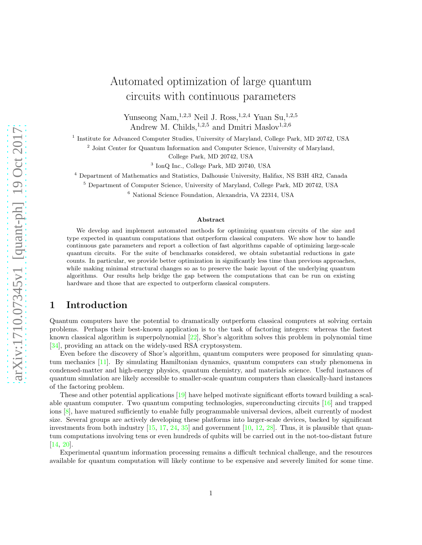# Automated optimization of large quantum circuits with continuous parameters

Yunseong Nam,  $^{1,2,3}$  Neil J. Ross,  $^{1,2,4}$  Yuan Su,  $^{1,2,5}$ Andrew M. Childs,<sup>1,2,5</sup> and Dmitri Maslov<sup>1,2,6</sup>

<sup>1</sup> Institute for Advanced Computer Studies, University of Maryland, College Park, MD 20742, USA

<sup>2</sup> Joint Center for Quantum Information and Computer Science, University of Maryland,

College Park, MD 20742, USA

3 IonQ Inc., College Park, MD 20740, USA

<sup>4</sup> Department of Mathematics and Statistics, Dalhousie University, Halifax, NS B3H 4R2, Canada

<sup>5</sup> Department of Computer Science, University of Maryland, College Park, MD 20742, USA

<sup>6</sup> National Science Foundation, Alexandria, VA 22314, USA

#### Abstract

We develop and implement automated methods for optimizing quantum circuits of the size and type expected in quantum computations that outperform classical computers. We show how to handle continuous gate parameters and report a collection of fast algorithms capable of optimizing large-scale quantum circuits. For the suite of benchmarks considered, we obtain substantial reductions in gate counts. In particular, we provide better optimization in significantly less time than previous approaches, while making minimal structural changes so as to preserve the basic layout of the underlying quantum algorithms. Our results help bridge the gap between the computations that can be run on existing hardware and those that are expected to outperform classical computers.

## 1 Introduction

Quantum computers have the potential to dramatically outperform classical computers at solving certain problems. Perhaps their best-known application is to the task of factoring integers: whereas the fastest known classical algorithm is superpolynomial [\[22\]](#page-18-0), Shor's algorithm solves this problem in polynomial time [\[34\]](#page-19-0), providing an attack on the widely-used RSA cryptosystem.

Even before the discovery of Shor's algorithm, quantum computers were proposed for simulating quantum mechanics [\[11\]](#page-17-0). By simulating Hamiltonian dynamics, quantum computers can study phenomena in condensed-matter and high-energy physics, quantum chemistry, and materials science. Useful instances of quantum simulation are likely accessible to smaller-scale quantum computers than classically-hard instances of the factoring problem.

These and other potential applications [\[19](#page-18-1)] have helped motivate significant efforts toward building a scalable quantum computer. Two quantum computing technologies, superconducting circuits [\[16](#page-18-2)] and trapped ions [\[8\]](#page-17-1), have matured sufficiently to enable fully programmable universal devices, albeit currently of modest size. Several groups are actively developing these platforms into larger-scale devices, backed by significant investments from both industry  $[15, 17, 24, 35]$  $[15, 17, 24, 35]$  $[15, 17, 24, 35]$  $[15, 17, 24, 35]$  $[15, 17, 24, 35]$  $[15, 17, 24, 35]$  $[15, 17, 24, 35]$  and government  $[10, 12, 28]$  $[10, 12, 28]$  $[10, 12, 28]$  $[10, 12, 28]$ . Thus, it is plausible that quantum computations involving tens or even hundreds of qubits will be carried out in the not-too-distant future [\[14,](#page-17-4) [20\]](#page-18-7).

Experimental quantum information processing remains a difficult technical challenge, and the resources available for quantum computation will likely continue to be expensive and severely limited for some time.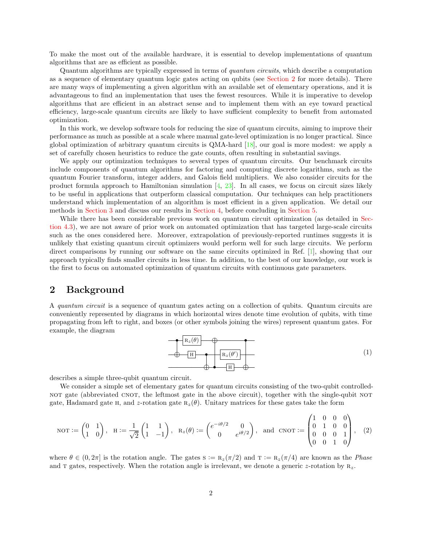To make the most out of the available hardware, it is essential to develop implementations of quantum algorithms that are as efficient as possible.

Quantum algorithms are typically expressed in terms of quantum circuits, which describe a computation as a sequence of elementary quantum logic gates acting on qubits (see [Section 2](#page-1-0) for more details). There are many ways of implementing a given algorithm with an available set of elementary operations, and it is advantageous to find an implementation that uses the fewest resources. While it is imperative to develop algorithms that are efficient in an abstract sense and to implement them with an eye toward practical efficiency, large-scale quantum circuits are likely to have sufficient complexity to benefit from automated optimization.

In this work, we develop software tools for reducing the size of quantum circuits, aiming to improve their performance as much as possible at a scale where manual gate-level optimization is no longer practical. Since global optimization of arbitrary quantum circuits is QMA-hard [\[18\]](#page-18-8), our goal is more modest: we apply a set of carefully chosen heuristics to reduce the gate counts, often resulting in substantial savings.

We apply our optimization techniques to several types of quantum circuits. Our benchmark circuits include components of quantum algorithms for factoring and computing discrete logarithms, such as the quantum Fourier transform, integer adders, and Galois field multipliers. We also consider circuits for the product formula approach to Hamiltonian simulation  $[4, 23]$  $[4, 23]$  $[4, 23]$ . In all cases, we focus on circuit sizes likely to be useful in applications that outperform classical computation. Our techniques can help practitioners understand which implementation of an algorithm is most efficient in a given application. We detail our methods in [Section 3](#page-2-0) and discuss our results in [Section 4,](#page-10-0) before concluding in [Section 5.](#page-15-0)

Whi[le there has been considerable previous work on quantum circuit optimization \(as detailed in](#page-12-0) Section 4.3), we are not aware of prior work on automated optimization that has targeted large-scale circuits such as the ones considered here. Moreover, extrapolation of previously-reported runtimes suggests it is unlikely that existing quantum circuit optimizers would perform well for such large circuits. We perform direct comparisons by running our software on the same circuits optimized in Ref. [\[1](#page-17-6)], showing that our approach typically finds smaller circuits in less time. In addition, to the best of our knowledge, our work is the first to focus on automated optimization of quantum circuits with continuous gate parameters.

# <span id="page-1-0"></span>2 Background

A quantum circuit is a sequence of quantum gates acting on a collection of qubits. Quantum circuits are conveniently represented by diagrams in which horizontal wires denote time evolution of qubits, with time propagating from left to right, and boxes (or other symbols joining the wires) represent quantum gates. For example, the diagram



describes a simple three-qubit quantum circuit.

We consider a simple set of elementary gates for quantum circuits consisting of the two-qubit controllednot gate (abbreviated CNOT, the leftmost gate in the above circuit), together with the single-qubit NOT gate, Hadamard gate H, and z-rotation gate  $R_z(\theta)$ . Unitary matrices for these gates take the form

$$
\text{NOT} := \begin{pmatrix} 0 & 1 \\ 1 & 0 \end{pmatrix}, \ \ \text{H} := \frac{1}{\sqrt{2}} \begin{pmatrix} 1 & 1 \\ 1 & -1 \end{pmatrix}, \ \ \text{R}_z(\theta) := \begin{pmatrix} e^{-i\theta/2} & 0 \\ 0 & e^{i\theta/2} \end{pmatrix}, \ \ \text{and} \ \ \text{CNOT} := \begin{pmatrix} 1 & 0 & 0 & 0 \\ 0 & 1 & 0 & 0 \\ 0 & 0 & 0 & 1 \\ 0 & 0 & 1 & 0 \end{pmatrix}, \ \ (2)
$$

where  $\theta \in (0, 2\pi]$  is the rotation angle. The gates  $s := R_z(\pi/2)$  and  $T := R_z(\pi/4)$  are known as the *Phase* and T gates, respectively. When the rotation angle is irrelevant, we denote a generic z-rotation by  $R_z$ .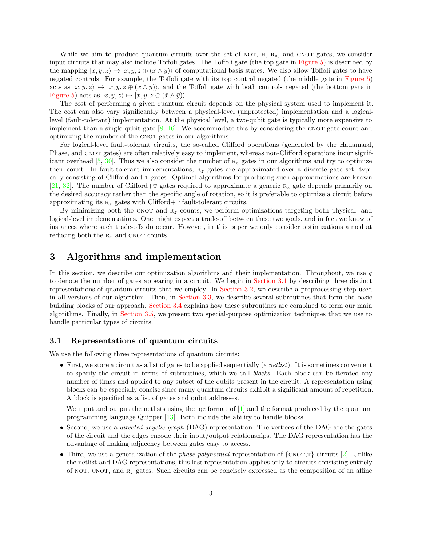While we aim to produce quantum circuits over the set of NOT,  $H$ ,  $R_z$ , and CNOT gates, we consider input circuits that may also include Toffoli gates. The Toffoli gate (the top gate in [Figure 5\)](#page-9-0) is described by the mapping  $|x, y, z \mapsto (x, y, z \oplus (x \wedge y))$  of computational basis states. We also allow Toffoli gates to have negated controls. For example, the Toffoli gate with its top control negated (the middle gate in [Figure 5\)](#page-9-0) acts as  $|x, y, z \rangle \mapsto |x, y, z \oplus (\bar{x} \wedge y) \rangle$ , and the Toffoli gate with both controls negated (the bottom gate in [Figure 5\)](#page-9-0) acts as  $|x, y, z\rangle \mapsto |x, y, z \oplus (\bar{x} \wedge \bar{y})\rangle$ .

The cost of performing a given quantum circuit depends on the physical system used to implement it. The cost can also vary significantly between a physical-level (unprotected) implementation and a logicallevel (fault-tolerant) implementation. At the physical level, a two-qubit gate is typically more expensive to implement than a single-qubit gate  $[8, 16]$  $[8, 16]$ . We accommodate this by considering the CNOT gate count and optimizing the number of the CNOT gates in our algorithms.

For logical-level fault-tolerant circuits, the so-called Clifford operations (generated by the Hadamard, Phase, and CNOT gates) are often relatively easy to implement, whereas non-Clifford operations incur signif-icant overhead [\[5](#page-17-7), [30](#page-18-10)]. Thus we also consider the number of  $R_z$  gates in our algorithms and try to optimize their count. In fault-tolerant implementations,  $R_z$  gates are approximated over a discrete gate set, typically consisting of Clifford and t gates. Optimal algorithms for producing such approximations are known [\[21,](#page-18-11) [32](#page-18-12)]. The number of Clifford+T gates required to approximate a generic  $R_z$  gate depends primarily on the desired accuracy rather than the specific angle of rotation, so it is preferable to optimize a circuit before approximating its  $R_z$  gates with Clifford+T fault-tolerant circuits.

By minimizing both the CNOT and  $R<sub>z</sub>$  counts, we perform optimizations targeting both physical- and logical-level implementations. One might expect a trade-off between these two goals, and in fact we know of instances where such trade-offs do occur. However, in this paper we only consider optimizations aimed at reducing both the  $R_z$  and CNOT counts.

# <span id="page-2-0"></span>3 Algorithms and implementation

In this section, we describe our optimization algorithms and their implementation. Throughout, we use  $g$ to denote the number of gates appearing in a circuit. We begin in [Section 3.1](#page-2-1) by describing three distinct representations of quantum circuits that we employ. In [Section 3.2,](#page-3-0) we describe a preprocessing step used in all versions of our algorithm. Then, in [Section 3.3,](#page-4-0) we describe several subroutines that form the basic building blocks of our approach. [Section 3.4](#page-7-0) explains how these subroutines are combined to form our main algorithms. Finally, in [Section 3.5,](#page-8-0) we present two special-purpose optimization techniques that we use to handle particular types of circuits.

#### <span id="page-2-1"></span>3.1 Representations of quantum circuits

We use the following three representations of quantum circuits:

• First, we store a circuit as a list of gates to be applied sequentially (a *netlist*). It is sometimes convenient to specify the circuit in terms of subroutines, which we call blocks. Each block can be iterated any number of times and applied to any subset of the qubits present in the circuit. A representation using blocks can be especially concise since many quantum circuits exhibit a significant amount of repetition. A block is specified as a list of gates and qubit addresses.

We input and output the netlists using the .qc format of  $[1]$  and the format produced by the quantum programming language Quipper [\[13\]](#page-17-8). Both include the ability to handle blocks.

- Second, we use a *directed acyclic graph* (DAG) representation. The vertices of the DAG are the gates of the circuit and the edges encode their input/output relationships. The DAG representation has the advantage of making adjacency between gates easy to access.
- Third, we use a generalization of the *phase polynomial* representation of  $\{\text{CNOT},\text{T}\}\$  circuits [\[2](#page-17-9)]. Unlike the netlist and DAG representations, this last representation applies only to circuits consisting entirely of NOT, CNOT, and  $R_z$  gates. Such circuits can be concisely expressed as the composition of an affine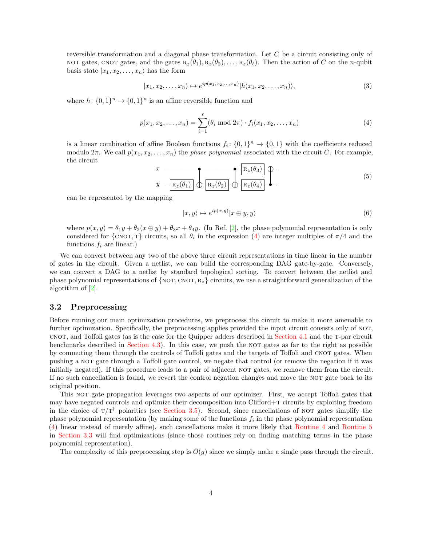reversible transformation and a diagonal phase transformation. Let C be a circuit consisting only of NOT gates, cnot gates, and the gates  $R_z(\theta_1), R_z(\theta_2), \ldots, R_z(\theta_\ell)$ . Then the action of C on the n-qubit basis state  $|x_1, x_2, \ldots, x_n\rangle$  has the form

<span id="page-3-1"></span>
$$
|x_1, x_2, \dots, x_n\rangle \mapsto e^{ip(x_1, x_2, \dots, x_n)} |h(x_1, x_2, \dots, x_n)\rangle, \tag{3}
$$

where  $h: \{0,1\}^n \to \{0,1\}^n$  is an affine reversible function and

$$
p(x_1, x_2, \dots, x_n) = \sum_{i=1}^{\ell} (\theta_i \mod 2\pi) \cdot f_i(x_1, x_2, \dots, x_n)
$$
 (4)

<span id="page-3-2"></span>is a linear combination of affine Boolean functions  $f_i: \{0,1\}^n \to \{0,1\}$  with the coefficients reduced modulo  $2\pi$ . We call  $p(x_1, x_2, \ldots, x_n)$  the phase polynomial associated with the circuit C. For example, the circuit

$$
x \longrightarrow R_z(\theta_1) \longrightarrow R_z(\theta_2) \longrightarrow R_z(\theta_4) \longrightarrow R_z(\theta_5)
$$
\n
$$
(5)
$$

can be represented by the mapping

$$
|x,y\rangle \mapsto e^{ip(x,y)}|x \oplus y,y\rangle \tag{6}
$$

where  $p(x, y) = \theta_1 y + \theta_2 (x \oplus y) + \theta_3 x + \theta_4 y$ . (In Ref. [\[2\]](#page-17-9), the phase polynomial representation is only considered for  $\{CNOT, T\}$  circuits, so all  $\theta_i$  in the expression [\(4\)](#page-3-1) are integer multiples of  $\pi/4$  and the functions  $f_i$  are linear.)

We can convert between any two of the above three circuit representations in time linear in the number of gates in the circuit. Given a netlist, we can build the corresponding DAG gate-by-gate. Conversely, we can convert a DAG to a netlist by standard topological sorting. To convert between the netlist and phase polynomial representations of  $\{NOT, CNOT, R_z\}$  circuits, we use a straightforward generalization of the algorithm of [\[2\]](#page-17-9).

#### <span id="page-3-0"></span>3.2 Preprocessing

Before running our main optimization procedures, we preprocess the circuit to make it more amenable to further optimization. Specifically, the preprocessing applies provided the input circuit consists only of NOT, cnot, and Toffoli gates (as is the case for the Quipper adders described in [Section 4.1](#page-10-1) and the T-par circuit benchmarks described in [Section 4.3\)](#page-12-0). In this case, we push the NOT gates as far to the right as possible by commuting them through the controls of Toffoli gates and the targets of Toffoli and CNOT gates. When pushing a NOT gate through a Toffoli gate control, we negate that control (or remove the negation if it was initially negated). If this procedure leads to a pair of adjacent NOT gates, we remove them from the circuit. If no such cancellation is found, we revert the control negation changes and move the NOT gate back to its original position.

This not gate propagation leverages two aspects of our optimizer. First, we accept Toffoli gates that may have negated controls and optimize their decomposition into Clifford+t circuits by exploiting freedom in the choice of  $T/T^{\dagger}$  polarities (see [Section 3.5\)](#page-8-0). Second, since cancellations of NOT gates simplify the phase polynomial representation (by making some of the functions  $f_i$  in the phase polynomial representation [\(4\)](#page-3-1) linear instead of merely affine), such cancellations make it more likely that [Routine 4](#page-5-0) and [Routine 5](#page-6-0) in [Section 3.3](#page-4-0) will find optimizations (since those routines rely on finding matching terms in the phase polynomial representation).

The complexity of this preprocessing step is  $O(q)$  since we simply make a single pass through the circuit.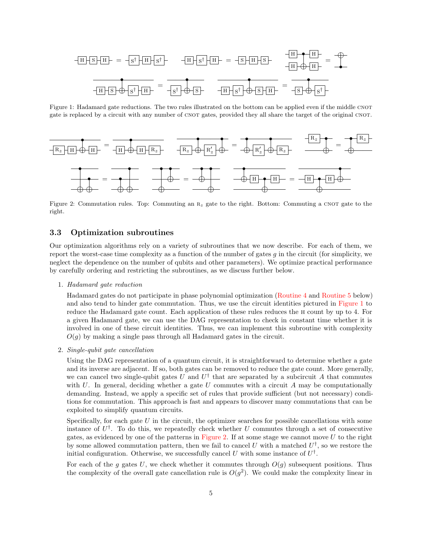<span id="page-4-1"></span>
$$
\frac{\text{H} \cdot \text{S} \cdot \text{H}}{\text{H} \cdot \text{S} \cdot \text{H}} = \frac{\text{S} \cdot \text{H} \cdot \text{S} \cdot \text{H}}{\text{S} \cdot \text{S} \cdot \text{H}} = \frac{\text{H} \cdot \text{S} \cdot \text{H}}{\text{S} \cdot \text{S} \cdot \text{H}} = \frac{\text{S} \cdot \text{H} \cdot \text{S}}{\text{H} \cdot \text{S} \cdot \text{H}} = \frac{\text{S} \cdot \text{H}}{\text{S} \cdot \text{S} \cdot \text{H}} = \frac{\text{S} \cdot \text{H}}{\text{S} \cdot \text{S} \cdot \text{H}} = \frac{\text{S} \cdot \text{S} \cdot \text{H}}{\text{S} \cdot \text{S} \cdot \text{H}} = \frac{\text{S} \cdot \text{S} \cdot \text{H}}{\text{S} \cdot \text{S} \cdot \text{H}} = \frac{\text{S} \cdot \text{S} \cdot \text{S} \cdot \text{H}}{\text{S} \cdot \text{S} \cdot \text{H}} = \frac{\text{S} \cdot \text{S} \cdot \text{S} \cdot \text{H}}{\text{S} \cdot \text{S} \cdot \text{H}} = \frac{\text{S} \cdot \text{S} \cdot \text{S} \cdot \text{H}}{\text{S} \cdot \text{S} \cdot \text{H}} = \frac{\text{S} \cdot \text{S} \cdot \text{S} \cdot \text{H}}{\text{S} \cdot \text{S} \cdot \text{H}} = \frac{\text{S} \cdot \text{S} \cdot \text{S} \cdot \text{H}}{\text{S} \cdot \text{S} \cdot \text{S} \cdot \text{H}} = \frac{\text{S} \cdot \text{S} \cdot \text{S} \cdot \text{H}}{\text{S} \cdot \text{S} \cdot \text{S} \cdot \text{H}} = \frac{\text{S} \cdot \text{S} \cdot \text{S} \cdot \text{S} \cdot \text{H}}{\text{S} \cdot \text{S} \cdot \text{S} \cdot \text{H}} = \frac{\text{S} \cdot \text{S} \cdot \text{S} \cdot \text{S} \cdot \text{H}}{\text{S} \cdot \text{S} \cdot \text{S} \cdot \text{H}} = \frac{\text{S} \cdot \text{S
$$

<span id="page-4-2"></span>Figure 1: Hadamard gate reductions. The two rules illustrated on the bottom can be applied even if the middle CNOT gate is replaced by a circuit with any number of CNOT gates, provided they all share the target of the original CNOT.



Figure 2: Commutation rules. Top: Commuting an  $R_z$  gate to the right. Bottom: Commuting a CNOT gate to the right.

## <span id="page-4-0"></span>3.3 Optimization subroutines

Our optimization algorithms rely on a variety of subroutines that we now describe. For each of them, we report the worst-case time complexity as a function of the number of gates  $g$  in the circuit (for simplicity, we neglect the dependence on the number of qubits and other parameters). We optimize practical performance by carefully ordering and restricting the subroutines, as we discuss further below.

<span id="page-4-4"></span>1. Hadamard gate reduction

Hadamard gates do not participate in phase polynomial optimization [\(Routine 4](#page-5-0) and [Routine 5](#page-6-0) below) and also tend to hinder gate commutation. Thus, we use the circuit identities pictured in [Figure 1](#page-4-1) to reduce the Hadamard gate count. Each application of these rules reduces the h count by up to 4. For a given Hadamard gate, we can use the DAG representation to check in constant time whether it is involved in one of these circuit identities. Thus, we can implement this subroutine with complexity  $O(q)$  by making a single pass through all Hadamard gates in the circuit.

<span id="page-4-3"></span>2. Single-qubit gate cancellation

Using the DAG representation of a quantum circuit, it is straightforward to determine whether a gate and its inverse are adjacent. If so, both gates can be removed to reduce the gate count. More generally, we can cancel two single-qubit gates U and  $U^{\dagger}$  that are separated by a subcircuit A that commutes with U. In general, deciding whether a gate U commutes with a circuit  $A$  may be computationally demanding. Instead, we apply a specific set of rules that provide sufficient (but not necessary) conditions for commutation. This approach is fast and appears to discover many commutations that can be exploited to simplify quantum circuits.

Specifically, for each gate  $U$  in the circuit, the optimizer searches for possible cancellations with some instance of  $U^{\dagger}$ . To do this, we repeatedly check whether U commutes through a set of consecutive gates, as evidenced by one of the patterns in [Figure 2.](#page-4-2) If at some stage we cannot move  $U$  to the right by some allowed commutation pattern, then we fail to cancel U with a matched  $U^{\dagger}$ , so we restore the initial configuration. Otherwise, we successfully cancel U with some instance of  $U^{\dagger}$ .

For each of the g gates U, we check whether it commutes through  $O(g)$  subsequent positions. Thus the complexity of the overall gate cancellation rule is  $O(g^2)$ . We could make the complexity linear in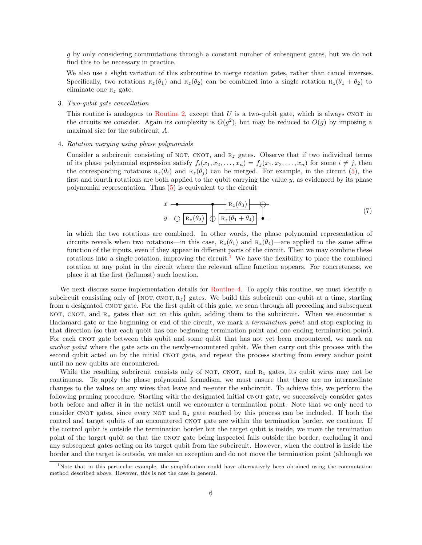g by only considering commutations through a constant number of subsequent gates, but we do not find this to be necessary in practice.

We also use a slight variation of this subroutine to merge rotation gates, rather than cancel inverses. Specifically, two rotations  $R_z(\theta_1)$  and  $R_z(\theta_2)$  can be combined into a single rotation  $R_z(\theta_1 + \theta_2)$  to eliminate one  $R_z$  gate.

<span id="page-5-2"></span>3. Two-qubit gate cancellation

This routine is analogous to [Routine 2,](#page-4-3) except that  $U$  is a two-qubit gate, which is always CNOT in the circuits we consider. Again its complexity is  $O(g^2)$ , but may be reduced to  $O(g)$  by imposing a maximal size for the subcircuit A.

#### <span id="page-5-0"></span>4. Rotation merging using phase polynomials

Consider a subcircuit consisting of NOT, CNOT, and  $R_z$  gates. Observe that if two individual terms of its phase polynomial expression satisfy  $f_i(x_1, x_2, \ldots, x_n) = f_i(x_1, x_2, \ldots, x_n)$  for some  $i \neq j$ , then the corresponding rotations  $R_z(\theta_i)$  and  $R_z(\theta_j)$  can be merged. For example, in the circuit [\(5\)](#page-3-2), the first and fourth rotations are both applied to the qubit carrying the value  $y$ , as evidenced by its phase polynomial representation. Thus [\(5\)](#page-3-2) is equivalent to the circuit

<span id="page-5-3"></span>
$$
x \longrightarrow R_z(\theta_2) \longrightarrow R_z(\theta_1 + \theta_4) \longrightarrow R_z(\theta_1 + \theta_4) \tag{7}
$$

in which the two rotations are combined. In other words, the phase polynomial representation of circuits reveals when two rotations—in this case,  $R_z(\theta_1)$  and  $R_z(\theta_4)$ —are applied to the same affine function of the inputs, even if they appear in different parts of the circuit. Then we may combine these rotations into a single rotation, improving the circuit.<sup>[1](#page-5-1)</sup> We have the flexibility to place the combined rotation at any point in the circuit where the relevant affine function appears. For concreteness, we place it at the first (leftmost) such location.

We next discuss some implementation details for [Routine 4.](#page-5-0) To apply this routine, we must identify a subcircuit consisting only of  $\{NOT, CNOT, R_z\}$  gates. We build this subcircuit one qubit at a time, starting from a designated CNOT gate. For the first qubit of this gate, we scan through all preceding and subsequent NOT, CNOT, and  $R_z$  gates that act on this qubit, adding them to the subcircuit. When we encounter a Hadamard gate or the beginning or end of the circuit, we mark a termination point and stop exploring in that direction (so that each qubit has one beginning termination point and one ending termination point). For each CNOT gate between this qubit and some qubit that has not yet been encountered, we mark an anchor point where the gate acts on the newly-encountered qubit. We then carry out this process with the second qubit acted on by the initial CNOT gate, and repeat the process starting from every anchor point until no new qubits are encountered.

While the resulting subcircuit consists only of NOT, CNOT, and  $R_z$  gates, its qubit wires may not be continuous. To apply the phase polynomial formalism, we must ensure that there are no intermediate changes to the values on any wires that leave and re-enter the subcircuit. To achieve this, we perform the following pruning procedure. Starting with the designated initial CNOT gate, we successively consider gates both before and after it in the netlist until we encounter a termination point. Note that we only need to consider CNOT gates, since every NOT and  $R_z$  gate reached by this process can be included. If both the control and target qubits of an encountered CNOT gate are within the termination border, we continue. If the control qubit is outside the termination border but the target qubit is inside, we move the termination point of the target qubit so that the CNOT gate being inspected falls outside the border, excluding it and any subsequent gates acting on its target qubit from the subcircuit. However, when the control is inside the border and the target is outside, we make an exception and do not move the termination point (although we

<span id="page-5-1"></span><sup>1</sup>Note that in this particular example, the simplification could have alternatively been obtained using the commutation method described above. However, this is not the case in general.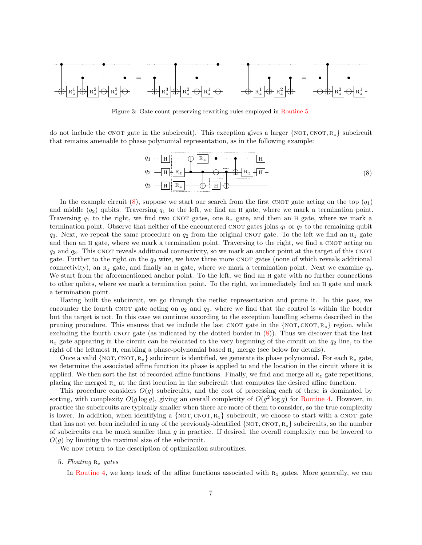<span id="page-6-2"></span>

Figure 3: Gate count preserving rewriting rules employed in [Routine 5.](#page-6-0)

<span id="page-6-1"></span>do not include the CNOT gate in the subcircuit). This exception gives a larger {NOT, CNOT,  $R_z$ } subcircuit that remains amenable to phase polynomial representation, as in the following example:



In the example circuit [\(8\)](#page-6-1), suppose we start our search from the first CNOT gate acting on the top  $(q_1)$ and middle  $(q_2)$  qubits. Traversing  $q_1$  to the left, we find an H gate, where we mark a termination point. Traversing  $q_1$  to the right, we find two CNOT gates, one  $R_z$  gate, and then an H gate, where we mark a termination point. Observe that neither of the encountered CNOT gates joins  $q_1$  or  $q_2$  to the remaining qubit  $q_3$ . Next, we repeat the same procedure on  $q_2$  from the original CNOT gate. To the left we find an  $R_z$  gate and then an H gate, where we mark a termination point. Traversing to the right, we find a CNOT acting on  $q_2$  and  $q_3$ . This CNOT reveals additional connectivity, so we mark an anchor point at the target of this CNOT gate. Further to the right on the  $q_2$  wire, we have three more CNOT gates (none of which reveals additional connectivity), an  $R_z$  gate, and finally an H gate, where we mark a termination point. Next we examine  $q_3$ . We start from the aforementioned anchor point. To the left, we find an H gate with no further connections to other qubits, where we mark a termination point. To the right, we immediately find an H gate and mark a termination point.

Having built the subcircuit, we go through the netlist representation and prune it. In this pass, we encounter the fourth CNOT gate acting on  $q_2$  and  $q_3$ , where we find that the control is within the border but the target is not. In this case we continue according to the exception handling scheme described in the pruning procedure. This ensures that we include the last CNOT gate in the  $\{NOT, CNOT, R_z\}$  region, while excluding the fourth CNOT gate (as indicated by the dotted border in  $(8)$ ). Thus we discover that the last  $R_z$  gate appearing in the circuit can be relocated to the very beginning of the circuit on the  $q_2$  line, to the right of the leftmost H, enabling a phase-polynomial based  $R_z$  merge (see below for details).

Once a valid {NOT, CNOT,  $R_z$ } subcircuit is identified, we generate its phase polynomial. For each  $R_z$  gate, we determine the associated affine function its phase is applied to and the location in the circuit where it is applied. We then sort the list of recorded affine functions. Finally, we find and merge all  $R_z$  gate repetitions, placing the merged  $R_z$  at the first location in the subcircuit that computes the desired affine function.

This procedure considers  $O(g)$  subcircuits, and the cost of processing each of these is dominated by sorting, with complexity  $O(g \log g)$ , giving an overall complexity of  $O(g^2 \log g)$  for [Routine 4.](#page-5-0) However, in practice the subcircuits are typically smaller when there are more of them to consider, so the true complexity is lower. In addition, when identifying a {NOT, CNOT,  $R_z$ } subcircuit, we choose to start with a CNOT gate that has not yet been included in any of the previously-identified  $\{NOT, CNOT, R_z\}$  subcircuits, so the number of subcircuits can be much smaller than  $g$  in practice. If desired, the overall complexity can be lowered to  $O(q)$  by limiting the maximal size of the subcircuit.

<span id="page-6-0"></span>We now return to the description of optimization subroutines.

5. Floating  $R_z$  gates

In [Routine 4,](#page-5-0) we keep track of the affine functions associated with  $R_z$  gates. More generally, we can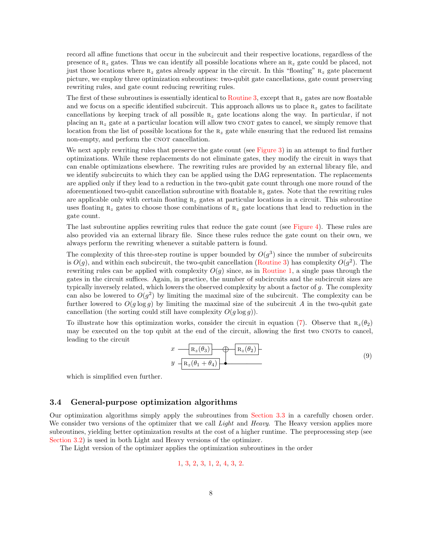record all affine functions that occur in the subcircuit and their respective locations, regardless of the presence of  $R_z$  gates. Thus we can identify all possible locations where an  $R_z$  gate could be placed, not just those locations where  $R_z$  gates already appear in the circuit. In this "floating"  $R_z$  gate placement picture, we employ three optimization subroutines: two-qubit gate cancellations, gate count preserving rewriting rules, and gate count reducing rewriting rules.

The first of these subroutines is essentially identical to [Routine 3,](#page-5-2) except that  $R_z$  gates are now floatable and we focus on a specific identified subcircuit. This approach allows us to place  $R_z$  gates to facilitate cancellations by keeping track of all possible  $R_z$  gate locations along the way. In particular, if not placing an  $R_z$  gate at a particular location will allow two CNOT gates to cancel, we simply remove that location from the list of possible locations for the  $R_z$  gate while ensuring that the reduced list remains non-empty, and perform the CNOT cancellation.

We next apply rewriting rules that preserve the gate count (see [Figure 3\)](#page-6-2) in an attempt to find further optimizations. While these replacements do not eliminate gates, they modify the circuit in ways that can enable optimizations elsewhere. The rewriting rules are provided by an external library file, and we identify subcircuits to which they can be applied using the DAG representation. The replacements are applied only if they lead to a reduction in the two-qubit gate count through one more round of the aforementioned two-qubit cancellation subroutine with floatable  $R_z$  gates. Note that the rewriting rules are applicable only with certain floating  $R_z$  gates at particular locations in a circuit. This subroutine uses floating  $R_z$  gates to choose those combinations of  $R_z$  gate locations that lead to reduction in the gate count.

The last subroutine applies rewriting rules that reduce the gate count (see [Figure 4\)](#page-8-1). These rules are also provided via an external library file. Since these rules reduce the gate count on their own, we always perform the rewriting whenever a suitable pattern is found.

The complexity of this three-step routine is upper bounded by  $O(g^3)$  since the number of subcircuits is  $O(g)$ , and within each subcircuit, the two-qubit cancellation [\(Routine 3\)](#page-5-2) has complexity  $O(g^2)$ . The rewriting rules can be applied with complexity  $O(g)$  since, as in [Routine 1,](#page-4-4) a single pass through the gates in the circuit suffices. Again, in practice, the number of subcircuits and the subcircuit sizes are typically inversely related, which lowers the observed complexity by about a factor of g. The complexity can also be lowered to  $O(g^2)$  by limiting the maximal size of the subcircuit. The complexity can be further lowered to  $O(g \log g)$  by limiting the maximal size of the subcircuit A in the two-qubit gate cancellation (the sorting could still have complexity  $O(q \log q)$ ).

To illustrate how this optimization works, consider the circuit in equation [\(7\)](#page-5-3). Observe that  $R_z(\theta_2)$ may be executed on the top qubit at the end of the circuit, allowing the first two CNOTs to cancel, leading to the circuit

$$
x \longrightarrow R_z(\theta_3) \longrightarrow R_z(\theta_2)
$$
  
\n
$$
y \longrightarrow R_z(\theta_1 + \theta_4)
$$
 (9)

which is simplified even further.

#### <span id="page-7-0"></span>3.4 General-purpose optimization algorithms

Our optimization algorithms simply apply the subroutines from [Section 3.3](#page-4-0) in a carefully chosen order. We consider two versions of the optimizer that we call Light and Heavy. The Heavy version applies more subroutines, yielding better optimization results at the cost of a higher runtime. The preprocessing step (see [Section 3.2\)](#page-3-0) is used in both Light and Heavy versions of the optimizer.

The Light version of the optimizer applies the optimization subroutines in the order

$$
1, 3, 2, 3, 1, 2, 4, 3, 2.
$$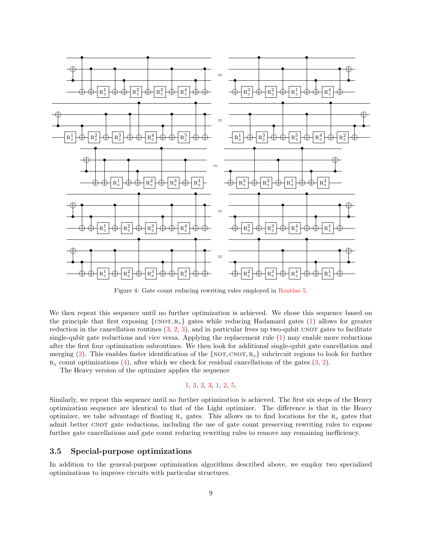<span id="page-8-1"></span>

Figure 4: Gate count reducing rewriting rules employed in [Routine 5.](#page-6-0)

We then repeat this sequence until no further optimization is achieved. We chose this sequence based on the principle that first exposing  $\{\text{CNOT}, \text{R}_z\}$  gates while reducing Hadamard gates [\(1\)](#page-4-4) allows for greater reduction in the cancellation routines  $(3, 2, 3)$  $(3, 2, 3)$  $(3, 2, 3)$  $(3, 2, 3)$ , and in particular frees up two-qubit CNOT gates to facilitate single-qubit gate reductions and vice versa. Applying the replacement rule  $(1)$  may enable more reductions after the first four optimization subroutines. We then look for additional single-qubit gate cancellation and merging [\(2\)](#page-4-3). This enables faster identification of the {NOT, CNOT,  $R_z$ } subcircuit regions to look for further  $R_z$  count optimizations [\(4\)](#page-5-0), after which we check for residual cancellations of the gates [\(3,](#page-5-2) [2\)](#page-4-3).

The Heavy version of the optimizer applies the sequence

#### [1](#page-4-4), [3](#page-5-2), [2](#page-4-3), [3](#page-5-2), [1](#page-4-4), [2](#page-4-3), [5](#page-6-0).

Similarly, we repeat this sequence until no further optimization is achieved. The first six steps of the Heavy optimization sequence are identical to that of the Light optimizer. The difference is that in the Heavy optimizer, we take advantage of floating  $R_z$  gates. This allows us to find locations for the  $R_z$  gates that admit better CNOT gate reductions, including the use of gate count preserving rewriting rules to expose further gate cancellations and gate count reducing rewriting rules to remove any remaining inefficiency.

#### <span id="page-8-0"></span>3.5 Special-purpose optimizations

In addition to the general-purpose optimization algorithms described above, we employ two specialized optimizations to improve circuits with particular structures.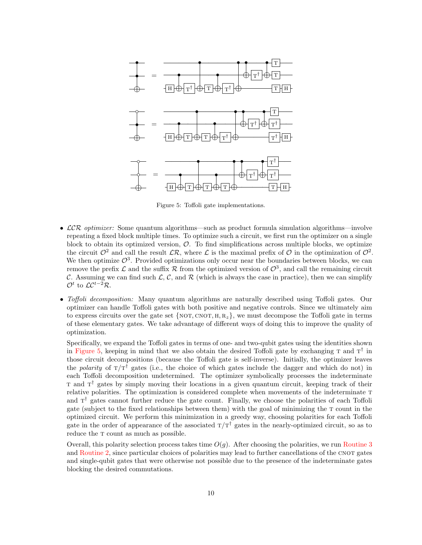<span id="page-9-0"></span>

Figure 5: Toffoli gate implementations.

- $LCR$  *optimizer:* Some quantum algorithms—such as product formula simulation algorithms—involve repeating a fixed block multiple times. To optimize such a circuit, we first run the optimizer on a single block to obtain its optimized version,  $\mathcal{O}$ . To find simplifications across multiple blocks, we optimize the circuit  $\mathcal{O}^2$  and call the result  $\mathcal{LR}$ , where  $\mathcal L$  is the maximal prefix of  $\mathcal O$  in the optimization of  $\mathcal O^2$ . We then optimize  $\mathcal{O}^3$ . Provided optimizations only occur near the boundaries between blocks, we can remove the prefix  $\mathcal L$  and the suffix  $\mathcal R$  from the optimized version of  $\mathcal O^3$ , and call the remaining circuit C. Assuming we can find such  $\mathcal{L}$ , C, and  $\mathcal{R}$  (which is always the case in practice), then we can simplify  $\mathcal{O}^t$  to  $\mathcal{LC}^{t-2}\mathcal{R}$ .
- Toffoli decomposition: Many quantum algorithms are naturally described using Toffoli gates. Our optimizer can handle Toffoli gates with both positive and negative controls. Since we ultimately aim to express circuits over the gate set  $\{NOT, CNOT, H, R_z\}$ , we must decompose the Toffoli gate in terms of these elementary gates. We take advantage of different ways of doing this to improve the quality of optimization.

Specifically, we expand the Toffoli gates in terms of one- and two-qubit gates using the identities shown in [Figure 5,](#page-9-0) keeping in mind that we also obtain the desired Toffoli gate by exchanging  $T$  and  $T^{\dagger}$  in those circuit decompositions (because the Toffoli gate is self-inverse). Initially, the optimizer leaves the *polarity* of  $T/T^{\dagger}$  gates (i.e., the choice of which gates include the dagger and which do not) in each Toffoli decomposition undetermined. The optimizer symbolically processes the indeterminate t and t † gates by simply moving their locations in a given quantum circuit, keeping track of their relative polarities. The optimization is considered complete when movements of the indeterminate  $T$ and  $T^{\dagger}$  gates cannot further reduce the gate count. Finally, we choose the polarities of each Toffoli gate (subject to the fixed relationships between them) with the goal of minimizing the t count in the optimized circuit. We perform this minimization in a greedy way, choosing polarities for each Toffoli gate in the order of appearance of the associated  $T/T^{\dagger}$  gates in the nearly-optimized circuit, so as to reduce the  $\tau$  count as much as possible.

Overall, this polarity selection process takes time  $O(q)$ . After choosing the polarities, we run [Routine 3](#page-5-2) and [Routine 2,](#page-4-3) since particular choices of polarities may lead to further cancellations of the CNOT gates and single-qubit gates that were otherwise not possible due to the presence of the indeterminate gates blocking the desired commutations.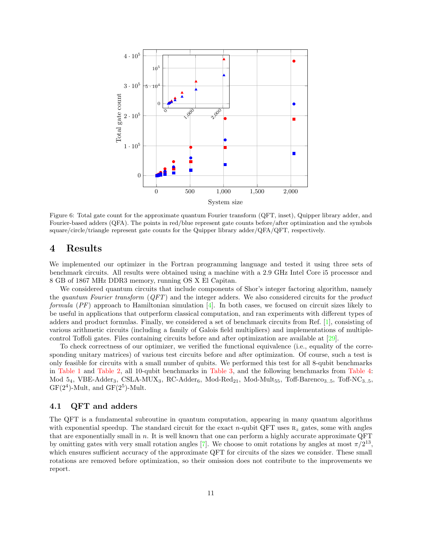<span id="page-10-2"></span>

Figure 6: Total gate count for the approximate quantum Fourier transform (QFT, inset), Quipper library adder, and Fourier-based adders (QFA). The points in red/blue represent gate counts before/after optimization and the symbols square/circle/triangle represent gate counts for the Quipper library adder/QFA/QFT, respectively.

## <span id="page-10-0"></span>4 Results

We implemented our optimizer in the Fortran programming language and tested it using three sets of benchmark circuits. All results were obtained using a machine with a 2.9 GHz Intel Core i5 processor and 8 GB of 1867 MHz DDR3 memory, running OS X El Capitan.

We considered quantum circuits that include components of Shor's integer factoring algorithm, namely the quantum Fourier transform  $(QFT)$  and the integer adders. We also considered circuits for the product formula  $(PF)$  approach to Hamiltonian simulation  $[4]$ . In both cases, we focused on circuit sizes likely to be useful in applications that outperform classical computation, and ran experiments with different types of adders and product formulas. Finally, we considered a set of benchmark circuits from Ref. [\[1](#page-17-6)], consisting of various arithmetic circuits (including a family of Galois field multipliers) and implementations of multiplecontrol Toffoli gates. Files containing circuits before and after optimization are available at [\[29\]](#page-18-13).

To check correctness of our optimizer, we verified the functional equivalence (i.e., equality of the corresponding unitary matrices) of various test circuits before and after optimization. Of course, such a test is only feasible for circuits with a small number of qubits. We performed this test for all 8-qubit benchmarks in [Table 1](#page-12-1) and [Table 2,](#page-13-0) all 10-qubit benchmarks in [Table 3,](#page-15-1) and the following benchmarks from [Table 4:](#page-16-0) Mod  $5_4$ , VBE-Adder<sub>3</sub>, CSLA-MUX<sub>3</sub>, RC-Adder<sub>6</sub>, Mod-Red<sub>21</sub>, Mod-Mult<sub>55</sub>, Toff-Barenco<sub>3..5</sub>, Toff-NC<sub>3..5</sub>,  $GF(2<sup>4</sup>)$ -Mult, and  $GF(2<sup>5</sup>)$ -Mult.

## <span id="page-10-1"></span>4.1 QFT and adders

The QFT is a fundamental subroutine in quantum computation, appearing in many quantum algorithms with exponential speedup. The standard circuit for the exact n-qubit QFT uses  $R_z$  gates, some with angles that are exponentially small in n. It is well known that one can perform a highly accurate approximate  $QFT$ by omitting gates with very small rotation angles [\[7\]](#page-17-10). We choose to omit rotations by angles at most  $\pi/2^{13}$ , which ensures sufficient accuracy of the approximate QFT for circuits of the sizes we consider. These small rotations are removed before optimization, so their omission does not contribute to the improvements we report.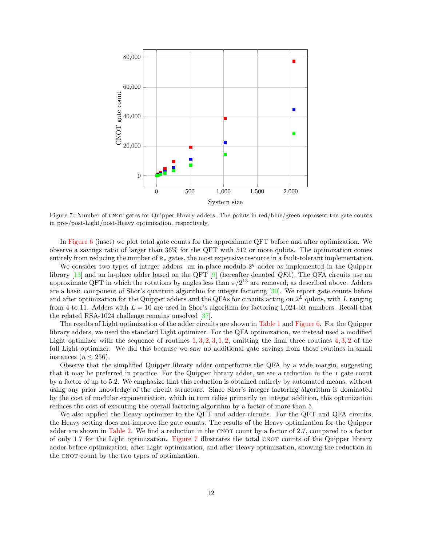<span id="page-11-0"></span>

Figure 7: Number of CNOT gates for Quipper library adders. The points in red/blue/green represent the gate counts in pre-/post-Light/post-Heavy optimization, respectively.

In [Figure 6](#page-10-2) (inset) we plot total gate counts for the approximate QFT before and after optimization. We observe a savings ratio of larger than 36% for the QFT with 512 or more qubits. The optimization comes entirely from reducing the number of  $R_z$  gates, the most expensive resource in a fault-tolerant implementation.

We consider two types of integer adders: an in-place modulo  $2<sup>q</sup>$  adder as implemented in the Quipper library  $[13]$  and an in-place adder based on the QFT  $[9]$  (hereafter denoted *QFA*). The QFA circuits use an approximate QFT in which the rotations by angles less than  $\pi/2^{13}$  are removed, as described above. Adders are a basic component of Shor's quantum algorithm for integer factoring [\[30\]](#page-18-10). We report gate counts before and after optimization for the Quipper adders and the QFAs for circuits acting on  $2^L$  qubits, with L ranging from 4 to 11. Adders with  $L = 10$  are used in Shor's algorithm for factoring 1,024-bit numbers. Recall that the related RSA-1024 challenge remains unsolved [\[37](#page-19-2)].

The results of Light optimization of the adder circuits are shown in [Table 1](#page-12-1) and [Figure 6.](#page-10-2) For the Quipper library adders, we used the standard Light optimizer. For the QFA optimization, we instead used a modified Light optimizer with the sequence of routines  $1, 3, 2, 3, 1, 2$  $1, 3, 2, 3, 1, 2$  $1, 3, 2, 3, 1, 2$  $1, 3, 2, 3, 1, 2$  $1, 3, 2, 3, 1, 2$  $1, 3, 2, 3, 1, 2$ , omitting the final three routines  $4, 3, 2$  $4, 3, 2$  of the full Light optimizer. We did this because we saw no additional gate savings from those routines in small instances  $(n \leq 256)$ .

Observe that the simplified Quipper library adder outperforms the QFA by a wide margin, suggesting that it may be preferred in practice. For the Quipper library adder, we see a reduction in the T gate count by a factor of up to 5.2. We emphasize that this reduction is obtained entirely by automated means, without using any prior knowledge of the circuit structure. Since Shor's integer factoring algorithm is dominated by the cost of modular exponentiation, which in turn relies primarily on integer addition, this optimization reduces the cost of executing the overall factoring algorithm by a factor of more than 5.

We also applied the Heavy optimizer to the QFT and adder circuits. For the QFT and QFA circuits, the Heavy setting does not improve the gate counts. The results of the Heavy optimization for the Quipper adder are shown in [Table 2.](#page-13-0) We find a reduction in the CNOT count by a factor of 2.7, compared to a factor of only 1.7 for the Light optimization. [Figure 7](#page-11-0) illustrates the total CNOT counts of the Quipper library adder before optimization, after Light optimization, and after Heavy optimization, showing the reduction in the CNOT count by the two types of optimization.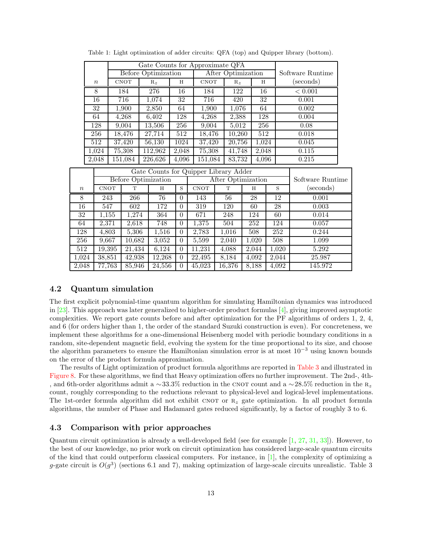<span id="page-12-1"></span>

|                    |                                       |                                                  |                          |                     |              | Gate Counts for Approximate QFA |                |                    |                         |                  |       |                  |                  |                  |  |  |  |
|--------------------|---------------------------------------|--------------------------------------------------|--------------------------|---------------------|--------------|---------------------------------|----------------|--------------------|-------------------------|------------------|-------|------------------|------------------|------------------|--|--|--|
|                    |                                       |                                                  |                          |                     |              | Before Optimization             |                | After Optimization |                         |                  |       |                  | Software Runtime |                  |  |  |  |
|                    | $\, n$                                |                                                  | <b>CNOT</b>              |                     | $R_z$        |                                 | H              | <b>CNOT</b>        |                         | $R_z$            |       | Η                |                  | (seconds)        |  |  |  |
|                    |                                       | 276<br>8<br>16<br>184                            |                          | 184                 |              | 122                             |                | $\overline{16}$    |                         | < 0.001          |       |                  |                  |                  |  |  |  |
|                    | 16                                    |                                                  | 716                      |                     | 1,074        |                                 | $32\,$         | 716                |                         | 420              |       | $\overline{32}$  |                  | 0.001            |  |  |  |
|                    |                                       |                                                  | $\overline{32}$<br>1,900 |                     | 2,850        |                                 | 64             | 1,900              |                         | 1,076            |       | 64               |                  | 0.002            |  |  |  |
|                    | 64                                    |                                                  | 4,268                    |                     | 6,402        |                                 | 128            |                    | 4,268                   |                  | 2,388 |                  | 128              | 0.004            |  |  |  |
|                    | 128                                   |                                                  | 9,004                    |                     |              | 13,506                          | 256            | 9,004              |                         | 5,012            |       | 256              |                  | 0.08             |  |  |  |
|                    | 256                                   |                                                  |                          | 18,476              |              | 27,714<br>$512\,$               |                | 18,476             |                         | 10,260           |       | $\overline{51}2$ |                  | 0.018            |  |  |  |
|                    |                                       | $\overline{512}$<br>37,420                       |                          |                     |              | 56,130                          | 1024           | 37,420             |                         | 20,756           |       | 1,024            |                  | 0.045            |  |  |  |
|                    |                                       | $\overline{75,308}$<br>2,048<br>1,024<br>112,962 |                          | 75,308              |              | 41,748                          | 2,048          |                    |                         | 0.115            |       |                  |                  |                  |  |  |  |
|                    |                                       | 2,048                                            |                          | 151,084             |              | 226,626                         | 4,096          | 151,084            | 83,732                  |                  |       | 4,096            |                  | 0.215            |  |  |  |
|                    | Gate Counts for Quipper Library Adder |                                                  |                          |                     |              |                                 |                |                    |                         |                  |       |                  |                  |                  |  |  |  |
|                    | <b>Before Optimization</b>            |                                                  |                          |                     |              |                                 |                |                    | After Optimization      |                  |       |                  |                  | Software Runtime |  |  |  |
| $\,n$              |                                       | <b>CNOT</b>                                      |                          | T                   |              |                                 | S              | <b>CNOT</b>        |                         | T                |       | H                | S                | (seconds)        |  |  |  |
| 8                  |                                       |                                                  | 243<br>266               |                     | 76           |                                 | $\theta$       | 143                |                         | 56               |       | 28               | 12               | 0.001            |  |  |  |
| $\overline{16}$    |                                       | 547                                              |                          | 602                 |              | 172                             | $\theta$       | 319                | 120                     |                  |       | 60               | $\overline{28}$  | 0.003            |  |  |  |
| 32                 |                                       | 1,155                                            |                          | 1,274               |              | 364                             | $\overline{0}$ | 671                |                         | 248              |       | 124              | 60               | 0.014            |  |  |  |
| 64                 |                                       | 2,371                                            |                          |                     | 2,618<br>748 |                                 | $\overline{0}$ | 1,375              |                         | $\overline{504}$ |       | $\overline{252}$ | 124              | 0.057            |  |  |  |
| 128                |                                       |                                                  | 4,803                    | 5,306               |              | 1,516                           | $\overline{0}$ | 2,783              |                         | 1,016            |       | 508              | 252              | 0.244            |  |  |  |
| 256                |                                       | 9,667                                            |                          | 10,682              |              | 3,052                           | $\overline{0}$ | 5,599              |                         | 2,040            |       | 1,020            | 508              | 1.099            |  |  |  |
| 512                |                                       | 19,395                                           |                          | 21,434<br>6,124     |              | $\overline{0}$                  | 11,231         |                    | 1,020<br>4,088<br>2,044 |                  | 5.292 |                  |                  |                  |  |  |  |
| $\overline{1,}024$ |                                       | $\overline{38,}851$                              |                          | $\overline{42,938}$ |              | $\overline{12,268}$             | $\overline{0}$ | 22,495             |                         | 8,184            |       | 4,092            | 2,044            | 25.987           |  |  |  |
| 2,048              |                                       | 77,763                                           |                          | 85,946              |              | 24,556                          | $\theta$       | 45,023             |                         | 16,376           |       | 8,188            | 4,092            | 145.972          |  |  |  |

Table 1: Light optimization of adder circuits: QFA (top) and Quipper library (bottom).

#### 4.2 Quantum simulation

The first explicit polynomial-time quantum algorithm for simulating Hamiltonian dynamics was introduced in [\[23\]](#page-18-9). This approach was later generalized to higher-order product formulas [\[4](#page-17-5)], giving improved asymptotic complexities. We report gate counts before and after optimization for the PF algorithms of orders 1, 2, 4, and 6 (for orders higher than 1, the order of the standard Suzuki construction is even). For concreteness, we implement these algorithms for a one-dimensional Heisenberg model with periodic boundary conditions in a random, site-dependent magnetic field, evolving the system for the time proportional to its size, and choose the algorithm parameters to ensure the Hamiltonian simulation error is at most  $10^{-3}$  using known bounds on the error of the product formula approximation.

The results of Light optimization of product formula algorithms are reported in [Table 3](#page-15-1) and illustrated in [Figure 8.](#page-14-0) For these algorithms, we find that Heavy optimization offers no further improvement. The 2nd-, 4th- , and 6th-order algorithms admit a ∼33.3% reduction in the CNOT count and a ∼28.5% reduction in the  $R_z$ count, roughly corresponding to the reductions relevant to physical-level and logical-level implementations. The 1st-order formula algorithm did not exhibit CNOT or  $R_z$  gate optimization. In all product formula algorithms, the number of Phase and Hadamard gates reduced significantly, by a factor of roughly 3 to 6.

## <span id="page-12-0"></span>4.3 Comparison with prior approaches

Quantum circuit optimization is already a well-developed field (see for example [\[1](#page-17-6), [27,](#page-18-14) [31,](#page-18-15) [33\]](#page-18-16)). However, to the best of our knowledge, no prior work on circuit optimization has considered large-scale quantum circuits of the kind that could outperform classical computers. For instance, in [\[1](#page-17-6)], the complexity of optimizing a g-gate circuit is  $O(g^3)$  (sections 6.1 and 7), making optimization of large-scale circuits unrealistic. Table 3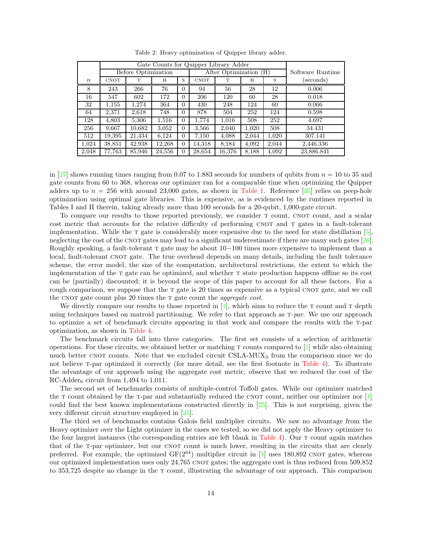<span id="page-13-0"></span>

|                  |             | Before Optimization |             |          |        | After Optimization | Software Runtime |       |            |
|------------------|-------------|---------------------|-------------|----------|--------|--------------------|------------------|-------|------------|
| $\boldsymbol{n}$ | <b>CNOT</b> | T                   | <b>CNOT</b> | T        | Η      | S                  | (seconds)        |       |            |
| 8                | 243         | 266                 | 76          | $\Omega$ | 94     | 56                 | 28               | 12    | 0.006      |
| 16               | 547         | 602                 | 172         | $\Omega$ | 206    | 120                | 60               | 28    | 0.018      |
| 32               | 1,155       | 1.274               | 364         | $\theta$ | 430    | 248                | 124              | 60    | 0.066      |
| 64               | 2,371       | 2,618               | 748         | $\Omega$ | 878    | 504                | 252              | 124   | 0.598      |
| 128              | 4,803       | 5,306               | 1,516       | $\Omega$ | 1,774  | 1,016              | 508              | 252   | 4.697      |
| 256              | 9,667       | 10,682              | 3,052       | $\Omega$ | 3,566  | 2,040              | 1,020            | 508   | 34.431     |
| 512              | 19.395      | 21,434              | 6,124       | $\Omega$ | 7,150  | 4,088              | 2,044            | 1,020 | 307.141    |
| 1,024            | 38,851      | 42,938              | 12,268      | $\theta$ | 14,318 | 8,184              | 4,092            | 2,044 | 2,446.336  |
| 2,048            | 77,763      | 85,946              | 24,556      | $\Omega$ | 28,654 | 16,376             | 8,188            | 4,092 | 23,886.841 |

Table 2: Heavy optimization of Quipper library adder.

in [\[27](#page-18-14)] shows running times ranging from 0.07 to 1.883 seconds for numbers of qubits from  $n = 10$  to 35 and gate counts from 60 to 368, whereas our optimizer ran for a comparable time when optimizing the Quipper adders up to  $n = 256$  with around 23,000 gates, as shown in [Table 1.](#page-12-1) Reference [\[31\]](#page-18-15) relies on peep-hole optimization using optimal gate libraries. This is expensive, as is evidenced by the runtimes reported in Tables I and II therein, taking already more than 100 seconds for a 20-qubit, 1,000-gate circuit.

To compare our results to those reported previously, we consider T count, CNOT count, and a scalar cost metric that accounts for the relative difficulty of performing CNOT and T gates in a fault-tolerant implementation. While the  $\tau$  gate is considerably more expensive due to the need for state distillation [\[5\]](#page-17-7). neglecting the cost of the CNOT gates may lead to a significant underestimate if there are many such gates [\[26\]](#page-18-17). Roughly speaking, a fault-tolerant  $T$  gate may be about  $10-100$  times more expensive to implement than a local, fault-tolerant CNOT gate. The true overhead depends on many details, including the fault tolerance scheme, the error model, the size of the computation, architectural restrictions, the extent to which the implementation of the  $T$  gate can be optimized, and whether  $T$  state production happens offline so its cost can be (partially) discounted; it is beyond the scope of this paper to account for all these factors. For a rough comparison, we suppose that the T gate is 20 times as expensive as a typical CNOT gate, and we call the CNOT gate count plus 20 times the T gate count the *aggregate cost*.

We directly compare our results to those reported in  $[1]$ , which aims to reduce the  $T$  count and  $T$  depth using techniques based on matroid partitioning. We refer to that approach as  $T-par$ . We use our approach to optimize a set of benchmark circuits appearing in that work and compare the results with the t-par optimization, as shown in [Table 4.](#page-16-0)

The benchmark circuits fall into three categories. The first set consists of a selection of arithmetic operations. For these circuits, we obtained better or matching  $T$  counts compared to  $[1]$  while also obtaining much better CNOT counts. Note that we excluded circuit  $CSLA-MUX<sub>3</sub>$  from the comparison since we do not believe t-par optimized it correctly (for more detail, see the first footnote in [Table 4\)](#page-16-0). To illustrate the advantage of our approach using the aggregate cost metric, observe that we reduced the cost of the RC-Adder<sub>6</sub> circuit from 1,494 to 1,011.

The second set of benchmarks consists of multiple-control Toffoli gates. While our optimizer matched the  $T$  count obtained by the  $T$ -par and substantially reduced the CNOT count, neither our optimizer nor  $[1]$ could find the best known implementations constructed directly in [\[25\]](#page-18-18). This is not surprising, given the very different circuit structure employed in [\[25](#page-18-18)].

The third set of benchmarks contains Galois field multiplier circuits. We saw no advantage from the Heavy optimizer over the Light optimizer in the cases we tested, so we did not apply the Heavy optimizer to the four largest instances (the corresponding entries are left blank in [Table 4\)](#page-16-0). Our  $T$  count again matches that of the T-par optimizer, but our CNOT count is much lower, resulting in the circuits that are clearly preferred. For example, the optimized  $GF(2^{64})$  multiplier circuit in [\[1](#page-17-6)] uses 180,892 CNOT gates, whereas our optimized implementation uses only 24,765 CNOT gates; the aggregate cost is thus reduced from 509,852 to 353,725 despite no change in the T count, illustrating the advantage of our approach. This comparison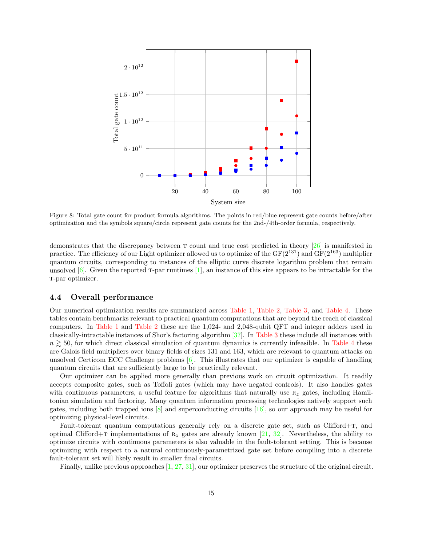<span id="page-14-0"></span>

Figure 8: Total gate count for product formula algorithms. The points in red/blue represent gate counts before/after optimization and the symbols square/circle represent gate counts for the 2nd-/4th-order formula, respectively.

demonstrates that the discrepancy between T count and true cost predicted in theory [\[26\]](#page-18-17) is manifested in practice. The efficiency of our Light optimizer allowed us to optimize of the  $GF(2^{131})$  and  $GF(2^{163})$  multiplier quantum circuits, corresponding to instances of the elliptic curve discrete logarithm problem that remain unsolved  $[6]$ . Given the reported T-par runtimes  $[1]$ , an instance of this size appears to be intractable for the t-par optimizer.

## 4.4 Overall performance

Our numerical optimization results are summarized across [Table 1,](#page-12-1) [Table 2,](#page-13-0) [Table 3,](#page-15-1) and [Table 4.](#page-16-0) These tables contain benchmarks relevant to practical quantum computations that are beyond the reach of classical computers. In [Table 1](#page-12-1) and [Table 2](#page-13-0) these are the 1,024- and 2,048-qubit QFT and integer adders used in classically-intractable instances of Shor's factoring algorithm [\[37\]](#page-19-2). In [Table 3](#page-15-1) these include all instances with  $n \geq 50$ , for which direct classical simulation of quantum dynamics is currently infeasible. In [Table 4](#page-16-0) these are Galois field multipliers over binary fields of sizes 131 and 163, which are relevant to quantum attacks on unsolved Certicom ECC Challenge problems  $[6]$ . This illustrates that our optimizer is capable of handling quantum circuits that are sufficiently large to be practically relevant.

Our optimizer can be applied more generally than previous work on circuit optimization. It readily accepts composite gates, such as Toffoli gates (which may have negated controls). It also handles gates with continuous parameters, a useful feature for algorithms that naturally use  $R_z$  gates, including Hamiltonian simulation and factoring. Many quantum information processing technologies natively support such gates, including both trapped ions  $\lbrack 8\rbrack$  and superconducting circuits  $\lbrack 16\rbrack$ , so our approach may be useful for optimizing physical-level circuits.

Fault-tolerant quantum computations generally rely on a discrete gate set, such as Clifford+T, and optimal Clifford+T implementations of  $R_z$  gates are already known [\[21,](#page-18-11) [32\]](#page-18-12). Nevertheless, the ability to optimize circuits with continuous parameters is also valuable in the fault-tolerant setting. This is because optimizing with respect to a natural continuously-parametrized gate set before compiling into a discrete fault-tolerant set will likely result in smaller final circuits.

Finally, unlike previous approaches [\[1](#page-17-6), [27,](#page-18-14) [31](#page-18-15)], our optimizer preserves the structure of the original circuit.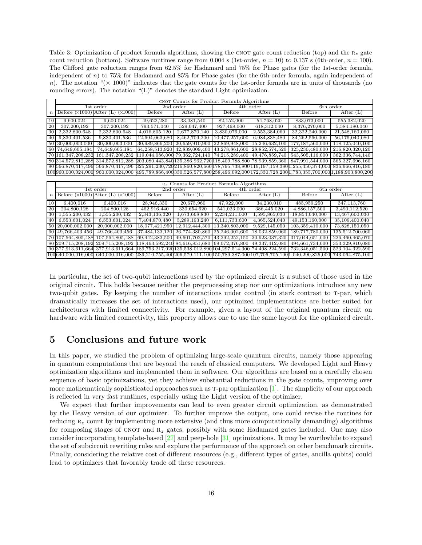<span id="page-15-1"></span>Table 3: Optimization of product formula algorithms, showing the CNOT gate count reduction (top) and the  $R_z$  gate count reduction (bottom). Software runtimes range from 0.004 s (1st-order,  $n = 10$ ) to 0.137 s (6th-order,  $n = 100$ ). The Clifford gate reduction ranges from 62.5% for Hadamard and 75% for Phase gates (for the 1st-order formula, independent of n) to 75% for Hadamard and 85% for Phase gates (for the 6th-order formula, again independent of n). The notation " $(\times 1000)$ " indicates that the gate counts for the 1st-order formula are in units of thousands (no rounding errors). The notation "(L)" denotes the standard Light optimization.

|                  | CNOT Counts for Product Formula Algorithms |                                                                                                                   |                                                              |               |                |                                                                               |                                                                                                                                        |                    |  |  |  |  |  |  |
|------------------|--------------------------------------------|-------------------------------------------------------------------------------------------------------------------|--------------------------------------------------------------|---------------|----------------|-------------------------------------------------------------------------------|----------------------------------------------------------------------------------------------------------------------------------------|--------------------|--|--|--|--|--|--|
|                  |                                            | 1st order                                                                                                         |                                                              | $2nd$ order   |                | 4th order                                                                     | 6th order                                                                                                                              |                    |  |  |  |  |  |  |
| $\boldsymbol{n}$ | Before $(x1000)$ After $(L)$               | (x1000)                                                                                                           | Before                                                       | After $(L)$   | Before         | $\overline{\text{After}}(\mathbf{L})$                                         | Before                                                                                                                                 | After (L)          |  |  |  |  |  |  |
| 10               | 9.600.024                                  | 9.600.024                                                                                                         | 49,622,280                                                   | 33.081.540    | 82.152.000     | 54.768.020                                                                    | 833,073,000                                                                                                                            | 555,382,020        |  |  |  |  |  |  |
| 20               | 307.200.192                                | 307.200.192                                                                                                       | 793,571,040                                                  | 529,047,400   | 927,468,000    | 618,312,040                                                                   | 8,376,270,000                                                                                                                          | 5,584,180,040      |  |  |  |  |  |  |
| 30               | 2.332.800.648                              | 2,332,800,648                                                                                                     | 4.016.805.120                                                | 2.677.870.140 | 3.830.076.000  | 2,553,384,060                                                                 | 32, 322, 240, 000                                                                                                                      | 21,548,160,060     |  |  |  |  |  |  |
| 40 l             | 9,830,401,536                              | 9.830,401,536                                                                                                     | 12.694.063.680                                               | 8.462.709.200 | 10,477,257,600 | 6.984.838.480                                                                 | 84, 262, 560, 000                                                                                                                      | 56,175,040,080     |  |  |  |  |  |  |
|                  | 50 30,000,003,000                          | 30,000,003,000                                                                                                    | 30,989,866,200                                               |               |                | $20,659,910,900$ $22,869,948,000$ $15,246,632,100$                            | 177,187,560,000                                                                                                                        | 118.125.040.100    |  |  |  |  |  |  |
|                  | 60 74,649,605,184                          | 74.649.605.184                                                                                                    |                                                              |               |                | 64, 258, 513, 920   42, 839, 009, 400   43, 278, 861, 600   28, 852, 574, 520 | 325, 230, 480, 000                                                                                                                     | 216.820.320.120    |  |  |  |  |  |  |
|                  | 70 161.347.208.232                         | 161, 347, 208, 232                                                                                                | 119,044,086,000 79,362,724,140 74,215,289,400 49,476,859,740 |               |                |                                                                               | 543,505,116,000                                                                                                                        | 362, 336, 744, 140 |  |  |  |  |  |  |
|                  |                                            | 80 314,572,812,288 314,572,812,288 3203,080,443,840 35,386,962,720 118,409,788,800 78,939,859,360 847,991,544,000 |                                                              |               |                |                                                                               |                                                                                                                                        | 565,327,696,160    |  |  |  |  |  |  |
|                  | 90 566,870,417,496                         |                                                                                                                   |                                                              |               |                |                                                                               | 566,870,417,496 325,291,230,720 216,860,820,660 178,795,738,800 119,197,159,380 1,255,450,374,000                                      | 836,966,916,180    |  |  |  |  |  |  |
|                  |                                            |                                                                                                                   |                                                              |               |                |                                                                               | 100060,000,024,000 960,000,024,000 495,789,866,400 330,526,577,800 258,496,092,000 172,330,728,200 1,783,355,700,000 1,188,903,800,200 |                    |  |  |  |  |  |  |
|                  |                                            |                                                                                                                   |                                                              |               |                |                                                                               |                                                                                                                                        |                    |  |  |  |  |  |  |

|                  | $Rz$ Counts for Product Formula Algorithms |                                                                                                   |                     |                                                                               |                |                |                                                                                                                      |                 |  |  |  |  |  |  |
|------------------|--------------------------------------------|---------------------------------------------------------------------------------------------------|---------------------|-------------------------------------------------------------------------------|----------------|----------------|----------------------------------------------------------------------------------------------------------------------|-----------------|--|--|--|--|--|--|
|                  |                                            | 1st order                                                                                         |                     | 2nd order                                                                     |                | 4th order      | 6th order                                                                                                            |                 |  |  |  |  |  |  |
| $\boldsymbol{n}$ | Before $(x1000)$ After<br>(x1000)<br>(L)   |                                                                                                   | Before<br>After (L) |                                                                               | Before         | After $(L)$    | Before                                                                                                               | After (L)       |  |  |  |  |  |  |
| <sup>10</sup>    | 6.400.016                                  | 6.400.016                                                                                         | 28,946,330          | 20,675,960                                                                    | 47.922.000     | 34,230,010     | 485,959,250                                                                                                          | 347,113,760     |  |  |  |  |  |  |
| <sup>20</sup>    | 204,800,128                                | 204,800,128                                                                                       | 462,916,440         | 330.654.620                                                                   | 541,023,000    | 386,445,020    | 4,886,157,500                                                                                                        | 3,490,112,520   |  |  |  |  |  |  |
| 30               | 1.555.200.432                              | 1,555,200,432                                                                                     | 2,343,136,320       | 1,673,668,830                                                                 | 2,234,211,000  | 1,595,865,030  | 18,854,640,000                                                                                                       | 13,467,600,030  |  |  |  |  |  |  |
| 40 l             | 6.553.601.024                              | 6,553,601,024                                                                                     | 7.404.870.480       | 5.289.193.240                                                                 | 6.111.733.600  | 4.365.524.040  | 49,153,160,000                                                                                                       | 35,109,400,040  |  |  |  |  |  |  |
|                  | 50 20,000,002,000                          | 20,000,002,000                                                                                    | 18.077.421.950      | 12.912.444.300                                                                | 13.340.803.000 | 9.529.145.050  | 103,359,410,000                                                                                                      | 73,828,150,050  |  |  |  |  |  |  |
|                  | 60 49,766,403,456                          | 49,766,403,456                                                                                    |                     | 37,484,133,120   26,774,380,860   25,246,002,600                              |                | 18.032.859.060 | $\overline{189,}717,780,000$                                                                                         | 135,512,700,060 |  |  |  |  |  |  |
|                  | 70 107.564.805.488                         | 107,564,805,488                                                                                   |                     | 69, 442, 383, 500   49, 601, 702, 570   43, 292, 252, 150   30, 923, 037, 320 |                |                | 317,044,651,000                                                                                                      | 226,460,465,070 |  |  |  |  |  |  |
|                  | 80 209.715.208.192                         | 209,715,208,192 118,463,592,240 84,616,851,680 69,072,376,800 49,337,412,080                      |                     |                                                                               |                |                | 494,661,734,000                                                                                                      | 353,329,810,080 |  |  |  |  |  |  |
|                  |                                            | 90 377,913,611,664 377,913,611,664 189,753,217,920 135,538,012,890 104,297,514,300 74,498,224,590 |                     |                                                                               |                |                | 732.346.051.500                                                                                                      | 523.104.322.590 |  |  |  |  |  |  |
|                  |                                            |                                                                                                   |                     |                                                                               |                |                | 100640,000,016,000 640,000,016,000 289,210,755,400 206,579,111,100 150,789,387,000 107,706,705,100 1.040,290,825,000 | 743.064.875.100 |  |  |  |  |  |  |

In particular, the set of two-qubit interactions used by the optimized circuit is a subset of those used in the original circuit. This holds because neither the preprocessing step nor our optimizations introduce any new two-qubit gates. By keeping the number of interactions under control (in stark contrast to T-par, which dramatically increases the set of interactions used), our optimized implementations are better suited for architectures with limited connectivity. For example, given a layout of the original quantum circuit on hardware with limited connectivity, this property allows one to use the same layout for the optimized circuit.

# <span id="page-15-0"></span>5 Conclusions and future work

In this paper, we studied the problem of optimizing large-scale quantum circuits, namely those appearing in quantum computations that are beyond the reach of classical computers. We developed Light and Heavy optimization algorithms and implemented them in software. Our algorithms are based on a carefully chosen sequence of basic optimizations, yet they achieve substantial reductions in the gate counts, improving over more mathematically sophisticated approaches such as t-par optimization [\[1](#page-17-6)]. The simplicity of our approach is reflected in very fast runtimes, especially using the Light version of the optimizer.

We expect that further improvements can lead to even greater circuit optimization, as demonstrated by the Heavy version of our optimizer. To further improve the output, one could revise the routines for reducing  $R_z$  count by implementing more extensive (and thus more computationally demanding) algorithms for composing stages of CNOT and  $R_z$  gates, possibly with some Hadamard gates included. One may also consider incorporating template-based [\[27](#page-18-14)] and peep-hole [\[31\]](#page-18-15) optimizations. It may be worthwhile to expand the set of subcircuit rewriting rules and explore the performance of the approach on other benchmark circuits. Finally, considering the relative cost of different resources (e.g., different types of gates, ancilla qubits) could lead to optimizers that favorably trade off these resources.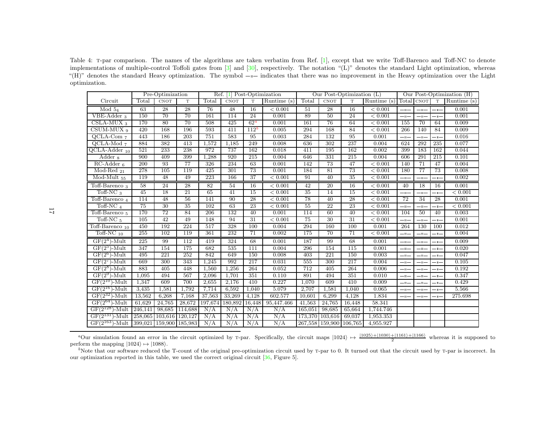<span id="page-16-0"></span>Table 4: <sup>t</sup>-par comparison. The names of the algorithms are taken verbatim from Ref. [\[1](#page-17-13)], except that we write Toff-Barenco and Toff-NC to denote implementations of multiple-control Toffoli gates from  $\lbrack 3 \rbrack$  and  $\lbrack 30 \rbrack$ , respectively. The notation "(L)" denotes the standard Light optimization, whereas "(H)" denotes the standard Heavy optimization. The symbol  $-<sub>u</sub>$  indicates that there was no improvement in the Heavy optimization over the Light optimization.

|                                 | Pre-Optimization |                         |            | $Ref. \[1]$<br>Post-Optimization |             |                  |             | Our Post-Optimization (L) |                         |        |                        | Our Post-Optimization (H) |                 |               |             |  |
|---------------------------------|------------------|-------------------------|------------|----------------------------------|-------------|------------------|-------------|---------------------------|-------------------------|--------|------------------------|---------------------------|-----------------|---------------|-------------|--|
| Circuit                         | Total            | <b>CNOT</b>             | T          | Total                            | <b>CNOT</b> | $\mathbf T$      | Runtime (s) | Total                     | <b>CNOT</b>             | T.     | Runtime (s) Total CNOT |                           |                 | T             | Runtime (s) |  |
| Mod~5 <sub>4</sub>              | 63               | 28                      | 28         | 76                               | 48          | 16               | < 0.001     | 51                        | 28                      | 16     | < 0.001                | $-\mathbf{u}$             | $-1$            | $-1$          | 0.001       |  |
| VBE-Adder <sub>3</sub>          | 150              | 70                      | 70         | 161                              | 114         | 24               | 0.001       | 89                        | 50                      | 24     | < 0.001                | $-\mathbf{u}$             | $-\theta$       | $-11-$        | 0.001       |  |
| $CSLA-MUX3$                     | 170              | 80                      | 70         | 508                              | 425         | 62 <sup>a</sup>  | 0.001       | 161                       | 76                      | 64     | < 0.001                | 155                       | 70              | 64            | 0.009       |  |
| $CSUM-MUX9$                     | 420              | 168                     | 196        | 593                              | 411         | $112^b$          | 0.005       | 294                       | 168                     | 84     | < 0.001                | 266                       | 140             | 84            | 0.009       |  |
| $QCLA-Com7$                     | 443              | 186                     | 203        | 751                              | 583         | 95               | 0.003       | 284                       | 132                     | 95     | 0.001                  | $-\mathbf{u}$             | $-\mathbf{u}$   | $-1$          | 0.016       |  |
| $\mathsf{QCLA\text{-}Mod}$ 7    | 884              | 382                     | 413        | 1,572                            | 1,185       | 249              | 0.008       | 636                       | 302                     | 237    | 0.004                  | 624                       | 292             | 235           | 0.077       |  |
| $QCLA-Adder_{10}$               | 521              | 233                     | 238        | 972                              | 737         | 162              | 0.018       | 411                       | 195                     | 162    | 0.002                  | 399                       | 183             | <b>162</b>    | 0.044       |  |
| Adder <sub>8</sub>              | 900              | 409                     | 399        | 1,288                            | 920         | $\overline{215}$ | 0.004       | 646                       | 331                     | 215    | 0.004                  | 606                       | 291             | 215           | 0.101       |  |
| $RC-Adder_6$                    | 200              | 93                      | 77         | 326                              | 234         | 63               | 0.001       | 142                       | 73                      | 47     | < 0.001                | 140                       | $\overline{71}$ | 47            | 0.004       |  |
| $Mod$ -Red $_{21}$              | 278              | 105                     | 119        | 425                              | 301         | 73               | 0.001       | 184                       | 81                      | 73     | < 0.001                | 180                       | 77              | 73            | 0.008       |  |
| $\overline{\text{Mod-Mult}}$ 55 | 119              | 48                      | 49         | 223                              | 166         | 37               | < 0.001     | 91                        | 40                      | 35     | < 0.001                | $-1$                      | $-1$            | $-1$          | 0.002       |  |
| Toff-Barenco <sub>3</sub>       | 58               | 24                      | 28         | 82                               | 54          | 16               | < 0.001     | 42                        | 20                      | 16     | < 0.001                | 40                        | 18              | 16            | 0.001       |  |
| Toff-NC $_3$                    | 45               | 18                      | 21         | 65                               | 41          | 15               | < 0.001     | 35                        | 14                      | 15     | < 0.001                | $-\mathbf{u}$             | $-\mathbf{r}$   | $-1$          | < 0.001     |  |
| Toff-Barenco <sub>4</sub>       | 114              | 48                      | 56         | 141                              | 90          | 28               | < 0.001     | 78                        | 40                      | 28     | < 0.001                | $\overline{72}$           | 34              | 28            | 0.001       |  |
| Toff-NC $_4$                    | 75               | 30                      | 35         | 102                              | 63          | 23               | < 0.001     | 55                        | 22                      | 23     | < 0.001                | $-1$                      | $-1$            | $-11-$        | < 0.001     |  |
| Toff-Barenco <sub>5</sub>       | 170              | 72                      | 84         | 206                              | 132         | 40               | 0.001       | 114                       | 60                      | 40     | < 0.001                | 104                       | 50              | 40            | 0.003       |  |
| Toff-NC $_5$                    | 105              | 42                      | 49         | 148                              | 94          | 31               | < 0.001     | 75                        | 30                      | 31     | < 0.001                | $-\mathbf{u}$             | $-\mathbf{r}$   | $-1$          | 0.001       |  |
| Toff-Barenco $_{\rm 10}$        | 450              | 192                     | 224        | 517                              | 328         | 100              | 0.004       | 294                       | 160                     | 100    | 0.001                  | 264                       | 130             | 100           | 0.012       |  |
| Toff-NC $_{10}$                 | 255              | 102                     | 119        | 361                              | 232         | 71               | 0.002       | 175                       | 70                      | 71     | < 0.001                | $-\mathbf{u}$             | $-\mathbf{u}$   | $-1$          | 0.004       |  |
| $GF(2^4)$ -Mult                 | 225              | 99                      | <b>112</b> | 419                              | 324         | 68               | 0.001       | 187                       | 99                      | 68     | 0.001                  | $-\mathbf{u}$             | $-\theta$       | $-11-$        | 0.009       |  |
| $GF(2^5)$ -Mult                 | 347              | 154                     | 175        | 682                              | 535         | 111              | 0.004       | 296                       | 154                     | 115    | 0.001                  | $-\mathbf{u}$             | $-1$            | $-\mathbf{u}$ | 0.020       |  |
| $GF(2^6)$ -Mult                 | 495              | 221                     | 252        | 842                              | 649         | 150              | 0.008       | 403                       | 221                     | 150    | 0.003                  | $-1$                      | $-\mathbf{r}$   | $-1$          | 0.047       |  |
| $GF(2^7)$ -Mult                 | 669              | 300                     | 343        | 1,245                            | 992         | 217              | 0.031       | 555                       | 300                     | 217    | 0.004                  | $-\mathbf{u}$             | $-\mathbf{u}$   | $-1$          | 0.105       |  |
| $GF(2^8)$ -Mult                 | 883              | 405                     | 448        | 1,560                            | 1,256       | 264              | 0.052       | 712                       | 405                     | 264    | 0.006                  | $-\mathbf{u}$             | $-\mathbf{u}$   | $-1$          | 0.192       |  |
| $GF(2^9)$ -Mult                 | 1,095            | 494                     | 567        | 2,096                            | 1,701       | 351              | 0.110       | 891                       | 494                     | 351    | 0.010                  | $-\mathbf{u}$             | $-\mathbf{u}$   | $-1$          | 0.347       |  |
| $GF(2^{10})$ -Mult              | 1,347            | 609                     | 700        | 2,655                            | 2,176       | 410              | 0.227       | 1,070                     | 609                     | 410    | 0.009                  | $-\mathbf{u}$             | $-\mathbf{u}$   | $-11-$        | 0.429       |  |
| $GF(2^{16})$ -Mult              | 3,435            | 1,581                   | 1,792      | 7,714                            | 6,592       | 1,040            | 5.079       | 2,707                     | 1,581                   | 1,040  | 0.065                  | $-\mathbf{u}$             | $-\mathbf{u}$   | $-1$          | 5.566       |  |
| $GF(2^{32})$ -Mult              | 13,562           | 6,268                   | 7,168      | 37,563                           | 33,269      | 4,128            | 602.577     | 10,601                    | 6,299                   | 4,128  | 1.834                  | $-\mathbf{u}$             | $-1$            | $-1$          | 275.698     |  |
| $GF(2^{64})$ -Mult              | 61,629           | 24,765                  | 28,672     | 197,674                          | 180,892     | 16,448           | 95,447.466  | 41,563                    | 24,765                  | 16,448 | 58.341                 |                           |                 |               |             |  |
| $GF(2^{128})$ -Mult             | 246,141          | 98,685                  | 114,688    | N/A                              | N/A         | N/A              | N/A         | 165,051                   | 98,685                  | 65,664 | 1,744.746              |                           |                 |               |             |  |
| $GF(2^{131})$ -Mult             |                  | 258,065 103,616 120,127 |            | N/A                              | N/A         | N/A              | N/A         |                           | 173,370 103,616         | 69,037 | 1,953.353              |                           |                 |               |             |  |
| $GF(2^{163})$ -Mult             |                  | 399,021 159,900 185,983 |            | N/A                              | N/A         | N/A              | N/A         |                           | 267,558 159,900 106,765 |        | 4,955.927              |                           |                 |               |             |  |

<sup>a</sup>Our simulation found an error in the circuit optimized by T-par. Specifically, the circuit maps  $|1024\rangle \mapsto \frac{|1025\rangle + |1030\rangle + |1161\rangle + |1166\rangle}{2}$  whereas it is supposed to form the mapping  $|1024\rangle \mapsto |1088\rangle$ perform the mapping  $|1024\rangle \mapsto |1088\rangle$ .

 $b$ Note that our software reduced the T-count of the original pre-optimization circuit used by T-par to 0. It turned out that the circuit used by T-par is incorrect. In our optimization reported in this table, we used the correct original circuit [\[36](#page-19-3), Figure 5].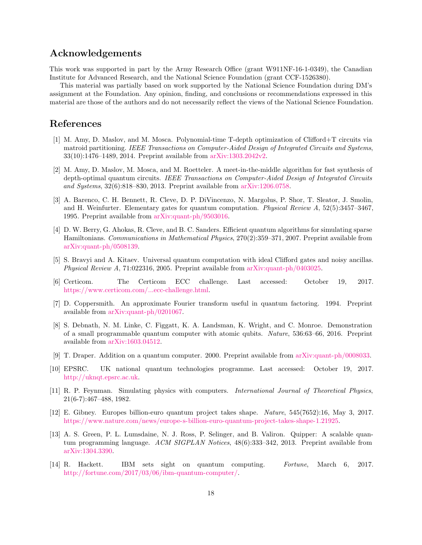# <span id="page-17-14"></span><span id="page-17-13"></span>Acknowledgements

This work was supported in part by the Army Research Office (grant W911NF-16-1-0349), the Canadian Institute for Advanced Research, and the National Science Foundation (grant CCF-1526380).

This material was partially based on work supported by the National Science Foundation during DM's assignment at the Foundation. Any opinion, finding, and conclusions or recommendations expressed in this material are those of the authors and do not necessarily reflect the views of the National Science Foundation.

# References

- <span id="page-17-6"></span>[1] M. Amy, D. Maslov, and M. Mosca. Polynomial-time T-depth optimization of Clifford+T circuits via matroid partitioning. IEEE Transactions on Computer-Aided Design of Integrated Circuits and Systems, 33(10):1476–1489, 2014. Preprint available from [arXiv:1303.2042v2.](http://arxiv.org/abs/1303.2042v2)
- <span id="page-17-9"></span>[2] M. Amy, D. Maslov, M. Mosca, and M. Roetteler. A meet-in-the-middle algorithm for fast synthesis of depth-optimal quantum circuits. IEEE Transactions on Computer-Aided Design of Integrated Circuits and Systems, 32(6):818–830, 2013. Preprint available from [arXiv:1206.0758.](http://arxiv.org/abs/1206.0758)
- [3] A. Barenco, C. H. Bennett, R. Cleve, D. P. DiVincenzo, N. Margolus, P. Shor, T. Sleator, J. Smolin, and H. Weinfurter. Elementary gates for quantum computation. Physical Review A, 52(5):3457–3467, 1995. Preprint available from [arXiv:quant-ph/9503016.](http://arxiv.org/abs/quant-ph/9503016)
- <span id="page-17-5"></span>[4] D. W. Berry, G. Ahokas, R. Cleve, and B. C. Sanders. Efficient quantum algorithms for simulating sparse Hamiltonians. Communications in Mathematical Physics, 270(2):359–371, 2007. Preprint available from [arXiv:quant-ph/0508139.](http://arxiv.org/abs/quant-ph/0508139)
- <span id="page-17-7"></span>[5] S. Bravyi and A. Kitaev. Universal quantum computation with ideal Clifford gates and noisy ancillas. Physical Review A, 71:022316, 2005. Preprint available from [arXiv:quant-ph/0403025.](http://arxiv.org/abs/quant-ph/0403025)
- <span id="page-17-12"></span>[6] Certicom. The Certicom ECC challenge. Last accessed: October 19, 2017. [https://www.certicom.com/...ecc-challenge.html.](https://www.certicom.com/content/certicom/en/the-certicom-ecc-challenge.html)
- <span id="page-17-10"></span>[7] D. Coppersmith. An approximate Fourier transform useful in quantum factoring. 1994. Preprint available from [arXiv:quant-ph/0201067.](http://arxiv.org/abs/quant-ph/0201067)
- <span id="page-17-1"></span>[8] S. Debnath, N. M. Linke, C. Figgatt, K. A. Landsman, K. Wright, and C. Monroe. Demonstration of a small programmable quantum computer with atomic qubits. Nature, 536:63–66, 2016. Preprint available from [arXiv:1603.04512.](http://arxiv.org/abs/1603.04512)
- <span id="page-17-11"></span>[9] T. Draper. Addition on a quantum computer. 2000. Preprint available from [arXiv:quant-ph/0008033.](http://arxiv.org/abs/quant-ph/0008033)
- <span id="page-17-2"></span>[10] EPSRC. UK national quantum technologies programme. Last accessed: October 19, 2017. [http://uknqt.epsrc.ac.uk.](http://uknqt.epsrc.ac.uk)
- <span id="page-17-0"></span>[11] R. P. Feynman. Simulating physics with computers. International Journal of Theoretical Physics, 21(6-7):467–488, 1982.
- <span id="page-17-3"></span>[12] E. Gibney. Europes billion-euro quantum project takes shape. Nature, 545(7652):16, May 3, 2017. [https://www.nature.com/news/europe-s-billion-euro-quantum-project-takes-shape-1.21925.](https://www.nature.com/news/europe-s-billion-euro-quantum-project-takes-shape-1.21925)
- <span id="page-17-8"></span>[13] A. S. Green, P. L. Lumsdaine, N. J. Ross, P. Selinger, and B. Valiron. Quipper: A scalable quantum programming language. ACM SIGPLAN Notices, 48(6):333-342, 2013. Preprint available from [arXiv:1304.3390.](http://arxiv.org/abs/1304.3390)
- <span id="page-17-4"></span>[14] R. Hackett. IBM sets sight on quantum computing. Fortune, March 6, 2017. [http://fortune.com/2017/03/06/ibm-quantum-computer/.](http://fortune.com/2017/03/06/ibm-quantum-computer/)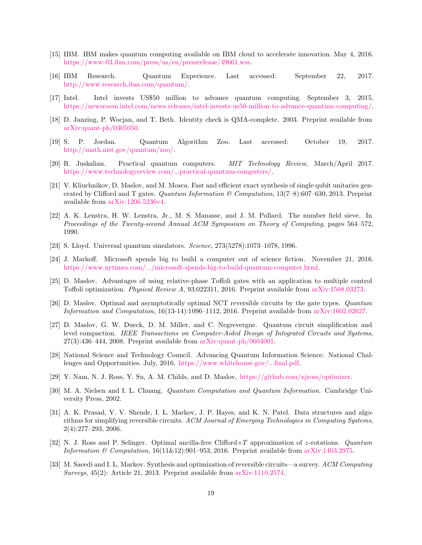- <span id="page-18-19"></span><span id="page-18-3"></span>[15] IBM. IBM makes quantum computing available on IBM cloud to accelerate innovation. May 4, 2016. [https://www-03.ibm.com/press/us/en/pressrelease/49661.wss.](https://www-03.ibm.com/press/us/en/pressrelease/49661.wss)
- <span id="page-18-2"></span>[16] IBM Research. Quantum Experience. Last accessed: September 22, 2017. [http://www.research.ibm.com/quantum/.](http://www.research.ibm.com/quantum/)
- <span id="page-18-4"></span>[17] Intel. Intel invests US\$50 million to advance quantum computing. September 3, 2015. [https://newsroom.intel.com/news-releases/intel-invests-us50-million-to-advance-quantum-computing/.](https://newsroom.intel.com/news-releases/intel-invests-us50-million-to-advance-quantum-computing/)
- <span id="page-18-8"></span>[18] D. Janzing, P. Wocjan, and T. Beth. Identity check is QMA-complete. 2003. Preprint available from [arXiv:quant-ph/0305050.](http://arxiv.org/abs/quant-ph/0305050)
- <span id="page-18-1"></span>[19] S. P. Jordan. Quantum Algorithm Zoo. Last accessed: October 19, 2017. [http://math.nist.gov/quantum/zoo/.](http://math.nist.gov/quantum/zoo/)
- <span id="page-18-7"></span>[20] R. Juskalian. Practical quantum computers. MIT Technology Review, March/April 2017. [https://www.technologyreview.com/...practical-quantum-computers/.](https://www.technologyreview.com/s/603495/10-breakthrough-technologies-2017-practical-quantum-computers/)
- <span id="page-18-11"></span>[21] V. Kliuchnikov, D. Maslov, and M. Mosca. Fast and efficient exact synthesis of single qubit unitaries generated by Clifford and T gates. Quantum Information  $\mathscr{C}$  Computation, 13(7–8):607–630, 2013. Preprint available from [arXiv:1206.5236v4.](http://arxiv.org/abs/1206.5236v4)
- <span id="page-18-0"></span>[22] A. K. Lenstra, H. W. Lenstra, Jr., M. S. Manasse, and J. M. Pollard. The number field sieve. In Proceedings of the Twenty-second Annual ACM Symposium on Theory of Computing, pages 564–572, 1990.
- <span id="page-18-9"></span>[23] S. Lloyd. Universal quantum simulators. Science, 273(5278):1073–1078, 1996.
- <span id="page-18-5"></span>[24] J. Markoff. Microsoft spends big to build a computer out of science fiction. November 21, 2016. [https://www.nytimes.com/.../microsoft-spends-big-to-build-quantum-computer.html.](https://www.nytimes.com/2016/11/21/technology/microsoft-spends-big-to-build-quantum-computer.html)
- <span id="page-18-18"></span>[25] D. Maslov. Advantages of using relative-phase Toffoli gates with an application to multiple control Toffoli optimization. Physical Review A, 93:022311, 2016. Preprint available from [arXiv:1508.03273.](http://arxiv.org/abs/1508.03273)
- <span id="page-18-17"></span>[26] D. Maslov. Optimal and asymptotically optimal NCT reversible circuits by the gate types. Quantum Information and Computation, 16(13-14):1096–1112, 2016. Preprint available from [arXiv:1602.02627.](http://arxiv.org/abs/1602.02627)
- <span id="page-18-14"></span>[27] D. Maslov, G. W. Dueck, D. M. Miller, and C. Negrevergne. Quantum circuit simplification and level compaction. IEEE Transactions on Computer-Aided Design of Integrated Circuits and Systems, 27(3):436–444, 2008. Preprint available from [arXiv:quant-ph/0604001.](http://arxiv.org/abs/quant-ph/0604001)
- <span id="page-18-6"></span>[28] National Science and Technology Council. Advancing Quantum Information Science: National Challenges and Opportunities. July, 2016. [https://www.whitehouse.gov/...final.pdf.](https://www.whitehouse.gov/sites/whitehouse.gov/files/images/Quantum_Info_Sci_Report_2016_07_22%20final.pdf)
- <span id="page-18-13"></span>[29] Y. Nam, N. J. Ross, Y. Su, A. M. Childs, and D. Maslov, [https://github.com/njross/optimizer.](https://github.com/njross/optimizer)
- <span id="page-18-10"></span>[30] M. A. Nielsen and I. L. Chuang. Quantum Computation and Quantum Information. Cambridge University Press, 2002.
- <span id="page-18-15"></span>[31] A. K. Prasad, V. V. Shende, I. L. Markov, J. P. Hayes, and K. N. Patel. Data structures and algorithms for simplifying reversible circuits. ACM Journal of Emerging Technologies in Computing Systems, 2(4):277–293, 2006.
- <span id="page-18-12"></span>[32] N. J. Ross and P. Selinger. Optimal ancilla-free Clifford+T approximation of z-rotations. Quantum Information & Computation,  $16(11\&12):901-953$ , 2016. Preprint available from [arXiv:1403.2975.](http://arxiv.org/abs/1403.2975)
- <span id="page-18-16"></span>[33] M. Saeedi and I. L. Markov. Synthesis and optimization of reversible circuits—a survey. ACM Computing Surveys, 45(2): Article 21, 2013. Preprint available from [arXiv:1110.2574.](http://arxiv.org/abs/1110.2574)